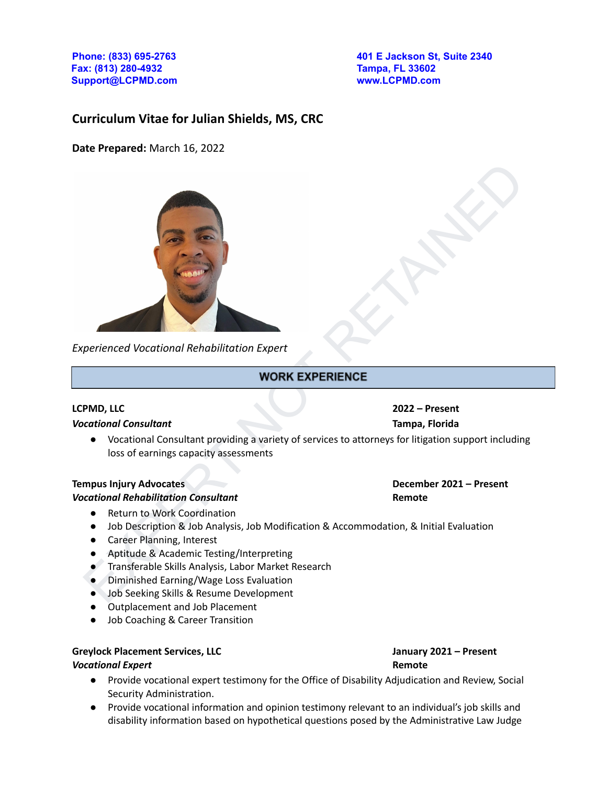**Fax: (813) 280-4932 Tampa, FL 33602 Support@LCPMD.com www.LCPMD.com**

**Phone: (833) 695-2763 401 E Jackson St, Suite 2340**

# **Curriculum Vitae for Julian Shields, MS, CRC**

**Date Prepared:** March 16, 2022



*Experienced Vocational Rehabilitation Expert*

### **LCPMD, LLC 2022 – Present**

### *Vocational Consultant* **Tampa, Florida**

● Vocational Consultant providing a variety of services to attorneys for litigation support including loss of earnings capacity assessments

### **Tempus Injury Advocates December 2021 – Present**

### *Vocational Rehabilitation Consultant* **Remote**

- Return to Work Coordination
- Job Description & Job Analysis, Job Modification & Accommodation, & Initial Evaluation
- Career Planning, Interest
- Aptitude & Academic Testing/Interpreting
- Transferable Skills Analysis, Labor Market Research
- Diminished Earning/Wage Loss Evaluation
- Job Seeking Skills & Resume Development
- Outplacement and Job Placement
- Job Coaching & Career Transition

### **Greylock Placement Services, LLC January 2021 – Present**

### *Vocational Expert* **Remote**

- Provide vocational expert testimony for the Office of Disability Adjudication and Review, Social Security Administration.
- Provide vocational information and opinion testimony relevant to an individual's job skills and disability information based on hypothetical questions posed by the Administrative Law Judge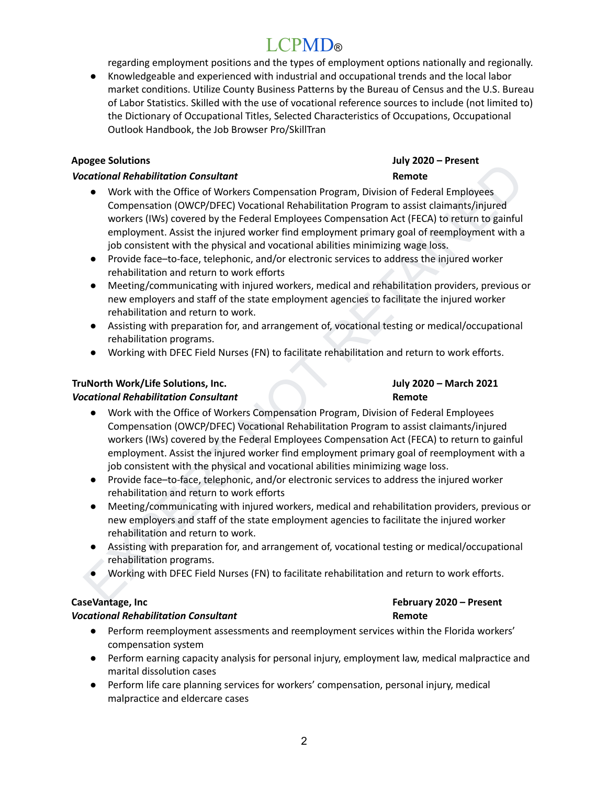regarding employment positions and the types of employment options nationally and regionally.

Knowledgeable and experienced with industrial and occupational trends and the local labor market conditions. Utilize County Business Patterns by the Bureau of Census and the U.S. Bureau of Labor Statistics. Skilled with the use of vocational reference sources to include (not limited to) the Dictionary of Occupational Titles, Selected Characteristics of Occupations, Occupational Outlook Handbook, the Job Browser Pro/SkillTran

# **Apogee Solutions July 2020 – Present**

# *Vocational Rehabilitation Consultant* **Remote**

- erational Rehabilitation Consultant<br>
excellent and Rehabilitation Consultant<br>
excellent the Office of Vorckers Compensation Program, Division of Federal Employees<br>
Compensation (OWCP/DFEC) Vocational Rehabilitation Program ● Work with the Office of Workers Compensation Program, Division of Federal Employees Compensation (OWCP/DFEC) Vocational Rehabilitation Program to assist claimants/injured workers (IWs) covered by the Federal Employees Compensation Act (FECA) to return to gainful employment. Assist the injured worker find employment primary goal of reemployment with a job consistent with the physical and vocational abilities minimizing wage loss.
- Provide face–to-face, telephonic, and/or electronic services to address the injured worker rehabilitation and return to work efforts
- Meeting/communicating with injured workers, medical and rehabilitation providers, previous or new employers and staff of the state employment agencies to facilitate the injured worker rehabilitation and return to work.
- Assisting with preparation for, and arrangement of, vocational testing or medical/occupational rehabilitation programs.
- Working with DFEC Field Nurses (FN) to facilitate rehabilitation and return to work efforts.

# **TruNorth Work/Life Solutions, Inc. July 2020 – March 2021**

# *Vocational Rehabilitation Consultant* **Remote**

- Work with the Office of Workers Compensation Program, Division of Federal Employees Compensation (OWCP/DFEC) Vocational Rehabilitation Program to assist claimants/injured workers (IWs) covered by the Federal Employees Compensation Act (FECA) to return to gainful employment. Assist the injured worker find employment primary goal of reemployment with a job consistent with the physical and vocational abilities minimizing wage loss.
- Provide face–to-face, telephonic, and/or electronic services to address the injured worker rehabilitation and return to work efforts
- Meeting/communicating with injured workers, medical and rehabilitation providers, previous or new employers and staff of the state employment agencies to facilitate the injured worker rehabilitation and return to work.
- Assisting with preparation for, and arrangement of, vocational testing or medical/occupational rehabilitation programs.
- Working with DFEC Field Nurses (FN) to facilitate rehabilitation and return to work efforts.

# *Vocational Rehabilitation Consultant* **Remote**

- Perform reemployment assessments and reemployment services within the Florida workers' compensation system
- Perform earning capacity analysis for personal injury, employment law, medical malpractice and marital dissolution cases
- Perform life care planning services for workers' compensation, personal injury, medical malpractice and eldercare cases

# **CaseVantage, Inc February 2020 – Present**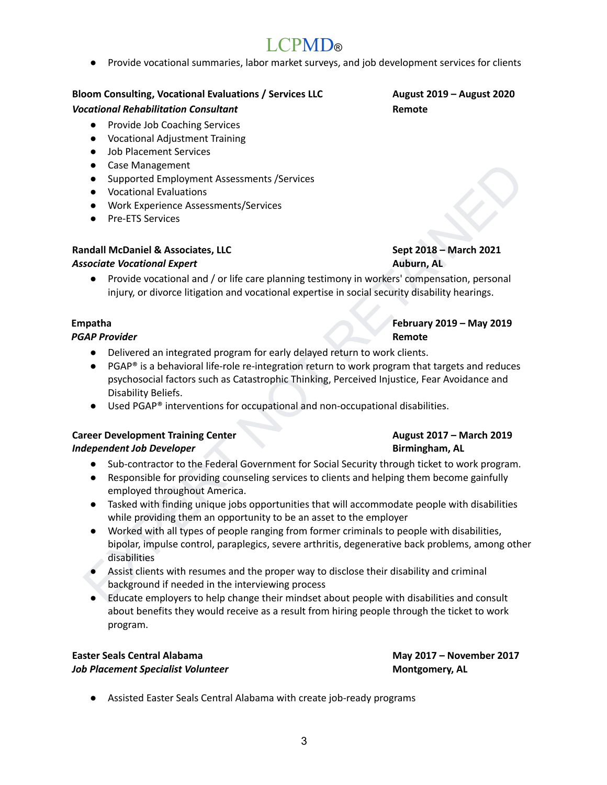● Provide vocational summaries, labor market surveys, and job development services for clients

## **Bloom Consulting, Vocational Evaluations / Services LLC August 2019 – August 2020**

# *Vocational Rehabilitation Consultant* **Remote**

- Provide Job Coaching Services
- Vocational Adjustment Training
- Job Placement Services
- Case Management
- Supported Employment Assessments /Services
- Vocational Evaluations
- Work Experience Assessments/Services
- Pre-ETS Services

# **Randall McDaniel & Associates, LLC Sept 2018 – March 2021**

## *Associate Vocational Expert* **Auburn, AL**

● Provide vocational and / or life care planning testimony in workers' compensation, personal injury, or divorce litigation and vocational expertise in social security disability hearings.

# **Empatha February 2019 – May 2019**

### *PGAP Provider* **Remote**

- Delivered an integrated program for early delayed return to work clients.
- PGAP® is a behavioral life-role re-integration return to work program that targets and reduces psychosocial factors such as Catastrophic Thinking, Perceived Injustice, Fear Avoidance and Disability Beliefs.
- Used PGAP® interventions for occupational and non-occupational disabilities.

# **Career Development Training Center August 2017 – March 2019**

# *Independent Job Developer* **Birmingham, AL**

- Sub-contractor to the Federal Government for Social Security through ticket to work program.
- Responsible for providing counseling services to clients and helping them become gainfully employed throughout America.
- Tasked with finding unique jobs opportunities that will accommodate people with disabilities while providing them an opportunity to be an asset to the employer
- Case Management<br>
 Supported Employment Assessments/Services<br>
 Voctional Evaluations<br>
 Voctional Evaluations<br>
 Mother Services<br>
 Pre-ETS Services<br>
 Pre-ETS Services<br>
 Pre-ETS Services<br>
 Pre-ITS Services<br>
 Provi ● Worked with all types of people ranging from former criminals to people with disabilities, bipolar, impulse control, paraplegics, severe arthritis, degenerative back problems, among other disabilities
	- Assist clients with resumes and the proper way to disclose their disability and criminal background if needed in the interviewing process
	- Educate employers to help change their mindset about people with disabilities and consult about benefits they would receive as a result from hiring people through the ticket to work program.

## **Easter Seals Central Alabama May 2017 – November 2017** *Job Placement Specialist Volunteer* **Montgomery, AL**

● Assisted Easter Seals Central Alabama with create job-ready programs

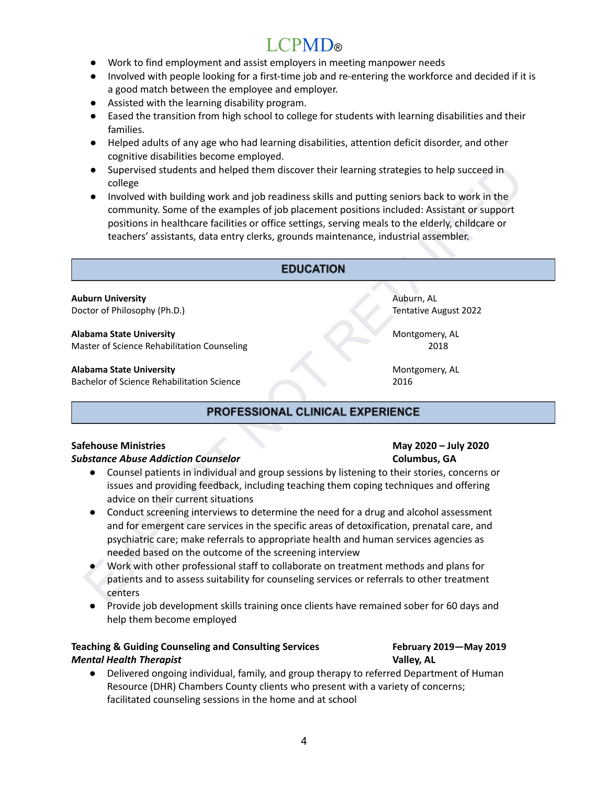# LCPM<sub>D®</sub>

- Work to find employment and assist employers in meeting manpower needs
- Involved with people looking for a first-time job and re-entering the workforce and decided if it is a good match between the employee and employer.
- Assisted with the learning disability program.
- Eased the transition from high school to college for students with learning disabilities and their families.
- Helped adults of any age who had learning disabilities, attention deficit disorder, and other cognitive disabilities become employed.
- Supervised students and helped them discover their learning strategies to help succeed in college
- Supervised students and helped them discover their learning strategies to help succeed in<br>
 Involved with building work and job readmess skills and putting seniors back to work in the<br>
torowork in the community. Some ● Involved with building work and job readiness skills and putting seniors back to work in the community. Some of the examples of job placement positions included: Assistant or support positions in healthcare facilities or office settings, serving meals to the elderly, childcare or teachers' assistants, data entry clerks, grounds maintenance, industrial assembler.

**Auburn University** Auburn, AL Doctor of Philosophy (Ph.D.) Tentative August 2022

### **Alabama State University** Montgomery, AL

Master of Science Rehabilitation Counseling 2018

### **Alabama State University** Montgomery, AL

Bachelor of Science Rehabilitation Science 2016

### **Safehouse Ministries May 2020 – July 2020**

### *Substance Abuse Addiction Counselor* **Columbus, GA**

- Counsel patients in individual and group sessions by listening to their stories, concerns or issues and providing feedback, including teaching them coping techniques and offering advice on their current situations
- Conduct screening interviews to determine the need for a drug and alcohol assessment and for emergent care services in the specific areas of detoxification, prenatal care, and psychiatric care; make referrals to appropriate health and human services agencies as needed based on the outcome of the screening interview
- Work with other professional staff to collaborate on treatment methods and plans for patients and to assess suitability for counseling services or referrals to other treatment centers
- Provide job development skills training once clients have remained sober for 60 days and help them become employed

# **Teaching & Guiding Counseling and Consulting Services February 2019—May 2019** *Mental Health Therapist* **Valley, AL**

● Delivered ongoing individual, family, and group therapy to referred Department of Human Resource (DHR) Chambers County clients who present with a variety of concerns; facilitated counseling sessions in the home and at school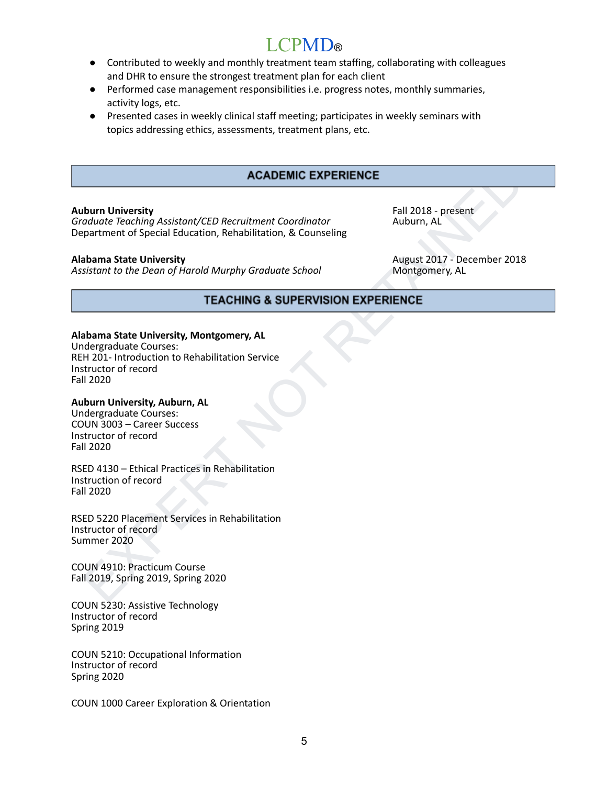- Contributed to weekly and monthly treatment team staffing, collaborating with colleagues and DHR to ensure the strongest treatment plan for each client
- Performed case management responsibilities i.e. progress notes, monthly summaries, activity logs, etc.
- Presented cases in weekly clinical staff meeting; participates in weekly seminars with topics addressing ethics, assessments, treatment plans, etc.

### **Auburn University** Fall 2018 - present

*Graduate Teaching Assistant/CED Recruitment Coordinator* Auburn, AL Department of Special Education, Rehabilitation, & Counseling

**Assistant to the Dean of Harold Murphy Graduate School** 

**Alabama State University**<br> *Assistant to the Dean of Harold Murphy Graduate School* Montgomery, AL Montgomery, AL

### **Alabama State University, Montgomery, AL**

**ACADEMIC EXPERIENCE**<br> **Example of the Continent Condinator**<br> **Examplement of Special Education, Rehabilitation, & Counseling**<br> **Auburn, AL**<br> **Partners of Special Education, Rehabilitation, & Counseling<br>
August 2017 - Dece** Undergraduate Courses: REH 201- Introduction to Rehabilitation Service Instructor of record Fall 2020

### **Auburn University, Auburn, AL**

Undergraduate Courses: COUN 3003 – Career Success Instructor of record Fall 2020

RSED 4130 – Ethical Practices in Rehabilitation Instruction of record Fall 2020

RSED 5220 Placement Services in Rehabilitation Instructor of record Summer 2020

COUN 4910: Practicum Course Fall 2019, Spring 2019, Spring 2020

COUN 5230: Assistive Technology Instructor of record Spring 2019

COUN 5210: Occupational Information Instructor of record Spring 2020

COUN 1000 Career Exploration & Orientation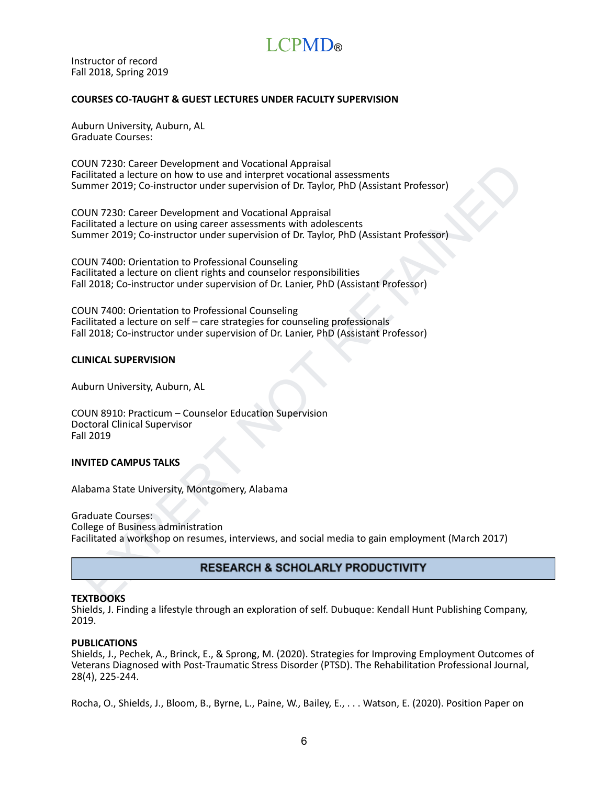Instructor of record Fall 2018, Spring 2019

### **COURSES CO-TAUGHT & GUEST LECTURES UNDER FACULTY SUPERVISION**

Auburn University, Auburn, AL Graduate Courses:

COUN 7230: Career Development and Vocational Appraisal Facilitated a lecture on how to use and interpret vocational assessments Summer 2019; Co-instructor under supervision of Dr. Taylor, PhD (Assistant Professor)

COUN 7230: Career Development and Vocational Appraisal Facilitated a lecture on using career assessments with adolescents Summer 2019; Co-instructor under supervision of Dr. Taylor, PhD (Assistant Professor)

COUN 7400: Orientation to Professional Counseling Facilitated a lecture on client rights and counselor responsibilities Fall 2018; Co-instructor under supervision of Dr. Lanier, PhD (Assistant Professor)

COUN 7400: Orientation to Professional Counseling Facilitated a lecture on self – care strategies for counseling professionals Fall 2018; Co-instructor under supervision of Dr. Lanier, PhD (Assistant Professor)

### **CLINICAL SUPERVISION**

Auburn University, Auburn, AL

COUN 8910: Practicum – Counselor Education Supervision Doctoral Clinical Supervisor Fall 2019

### **INVITED CAMPUS TALKS**

Alabama State University, Montgomery, Alabama

UN 7230. Carere Development and Vocational Appraisal<br>
Clintated a lecture on how to use and interpret vocational assessments<br>
mmer 2019; Co-instructor under supervision of Dr. Taylor, PhD (Assistant Professor)<br>
EXPERT DEVI Graduate Courses: College of Business administration Facilitated a workshop on resumes, interviews, and social media to gain employment (March 2017)

### **TEXTBOOKS**

Shields, J. Finding a lifestyle through an exploration of self. Dubuque: Kendall Hunt Publishing Company, 2019.

### **PUBLICATIONS**

Shields, J., Pechek, A., Brinck, E., & Sprong, M. (2020). Strategies for Improving Employment Outcomes of Veterans Diagnosed with Post-Traumatic Stress Disorder (PTSD). The Rehabilitation Professional Journal, 28(4), 225-244.

Rocha, O., Shields, J., Bloom, B., Byrne, L., Paine, W., Bailey, E., . . . Watson, E. (2020). Position Paper on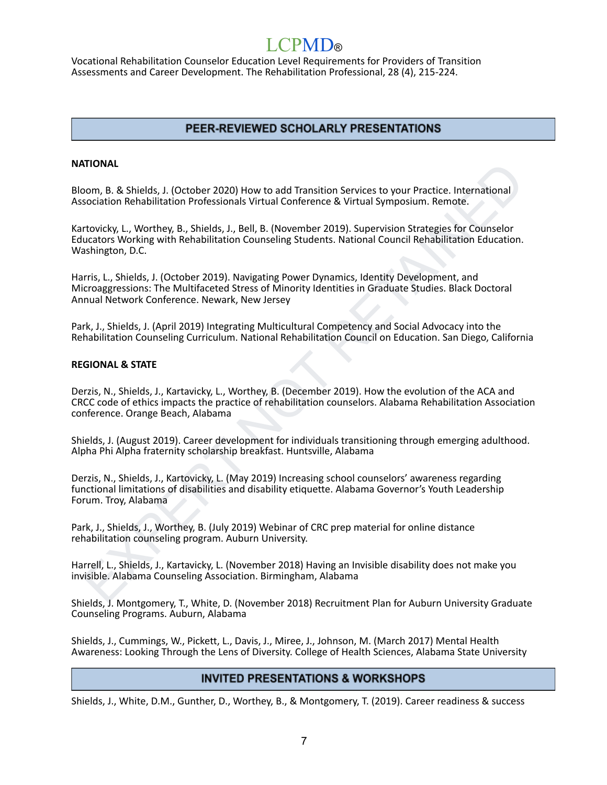Vocational Rehabilitation Counselor Education Level Requirements for Providers of Transition Assessments and Career Development. The Rehabilitation Professional, 28 (4), 215-224.

# PEER-REVIEWED SCHOLARLY PRESENTATIONS

### **NATIONAL**

Bloom, B. & Shields, J. (October 2020) How to add Transition Services to your Practice. International Association Rehabilitation Professionals Virtual Conference & Virtual Symposium. Remote.

Kartovicky, L., Worthey, B., Shields, J., Bell, B. (November 2019). Supervision Strategies for Counselor Educators Working with Rehabilitation Counseling Students. National Council Rehabilitation Education. Washington, D.C.

Harris, L., Shields, J. (October 2019). Navigating Power Dynamics, Identity Development, and Microaggressions: The Multifaceted Stress of Minority Identities in Graduate Studies. Black Doctoral Annual Network Conference. Newark, New Jersey

Park, J., Shields, J. (April 2019) Integrating Multicultural Competency and Social Advocacy into the Rehabilitation Counseling Curriculum. National Rehabilitation Council on Education. San Diego, California

### **REGIONAL & STATE**

**KITONAL**<br>TORAL CONDITION CONDEPT 2020) How to add Transition Services to your Practice. International<br>position Rehabilitation Professionals Virtual Conference & Virtual Symposium. Remote.<br>Totaky, L., Worthey, B., Shields, Derzis, N., Shields, J., Kartavicky, L., Worthey, B. (December 2019). How the evolution of the ACA and CRCC code of ethics impacts the practice of rehabilitation counselors. Alabama Rehabilitation Association conference. Orange Beach, Alabama

Shields, J. (August 2019). Career development for individuals transitioning through emerging adulthood. Alpha Phi Alpha fraternity scholarship breakfast. Huntsville, Alabama

Derzis, N., Shields, J., Kartovicky, L. (May 2019) Increasing school counselors' awareness regarding functional limitations of disabilities and disability etiquette. Alabama Governor's Youth Leadership Forum. Troy, Alabama

Park, J., Shields, J., Worthey, B. (July 2019) Webinar of CRC prep material for online distance rehabilitation counseling program. Auburn University.

Harrell, L., Shields, J., Kartavicky, L. (November 2018) Having an Invisible disability does not make you invisible. Alabama Counseling Association. Birmingham, Alabama

Shields, J. Montgomery, T., White, D. (November 2018) Recruitment Plan for Auburn University Graduate Counseling Programs. Auburn, Alabama

Shields, J., Cummings, W., Pickett, L., Davis, J., Miree, J., Johnson, M. (March 2017) Mental Health Awareness: Looking Through the Lens of Diversity. College of Health Sciences, Alabama State University

# **INVITED PRESENTATIONS & WORKSHOPS**

Shields, J., White, D.M., Gunther, D., Worthey, B., & Montgomery, T. (2019). Career readiness & success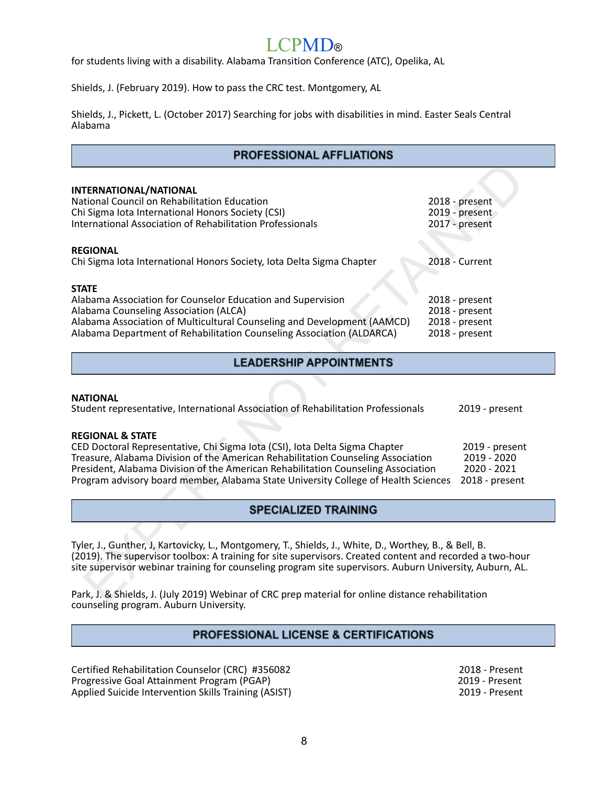# $\Gamma$ PM $\Gamma$

for students living with a disability. Alabama Transition Conference (ATC), Opelika, AL

Shields, J. (February 2019). How to pass the CRC test. Montgomery, AL

Shields, J., Pickett, L. (October 2017) Searching for jobs with disabilities in mind. Easter Seals Central Alabama

### **PROFESSIONAL AFFLIATIONS**

| INTERNATIONAL/NATIONAL                                                                                                                                                                                               |                                  |
|----------------------------------------------------------------------------------------------------------------------------------------------------------------------------------------------------------------------|----------------------------------|
| National Council on Rehabilitation Education                                                                                                                                                                         | 2018 - present                   |
| Chi Sigma Iota International Honors Society (CSI)<br><b>International Association of Rehabilitation Professionals</b>                                                                                                | 2019 - present<br>2017 - present |
|                                                                                                                                                                                                                      |                                  |
| <b>REGIONAL</b>                                                                                                                                                                                                      |                                  |
| Chi Sigma Iota International Honors Society, Iota Delta Sigma Chapter                                                                                                                                                | 2018 - Current                   |
| <b>STATE</b>                                                                                                                                                                                                         |                                  |
| Alabama Association for Counselor Education and Supervision                                                                                                                                                          | 2018 - present                   |
| Alabama Counseling Association (ALCA)                                                                                                                                                                                | 2018 - present                   |
| Alabama Association of Multicultural Counseling and Development (AAMCD)                                                                                                                                              | 2018 - present                   |
| Alabama Department of Rehabilitation Counseling Association (ALDARCA)                                                                                                                                                | 2018 - present                   |
| <b>LEADERSHIP APPOINTMENTS</b>                                                                                                                                                                                       |                                  |
|                                                                                                                                                                                                                      |                                  |
| <b>NATIONAL</b>                                                                                                                                                                                                      |                                  |
| Student representative, International Association of Rehabilitation Professionals                                                                                                                                    | 2019 - present                   |
| <b>REGIONAL &amp; STATE</b>                                                                                                                                                                                          |                                  |
| CED Doctoral Representative, Chi Sigma Iota (CSI), Iota Delta Sigma Chapter                                                                                                                                          | 2019 - present                   |
| Treasure, Alabama Division of the American Rehabilitation Counseling Association                                                                                                                                     | 2019 - 2020                      |
| President, Alabama Division of the American Rehabilitation Counseling Association<br>2020 - 2021                                                                                                                     |                                  |
| Program advisory board member, Alabama State University College of Health Sciences                                                                                                                                   | 2018 - present                   |
| <b>SPECIALIZED TRAINING</b>                                                                                                                                                                                          |                                  |
|                                                                                                                                                                                                                      |                                  |
|                                                                                                                                                                                                                      |                                  |
| Tyler, J., Gunther, J, Kartovicky, L., Montgomery, T., Shields, J., White, D., Worthey, B., & Bell, B.                                                                                                               |                                  |
| (2019). The supervisor toolbox: A training for site supervisors. Created content and recorded a two-hour<br>site supervisor webinar training for counseling program site supervisors. Auburn University, Auburn, AL. |                                  |
|                                                                                                                                                                                                                      |                                  |
|                                                                                                                                                                                                                      |                                  |
| Park, J. & Shields, J. (July 2019) Webinar of CRC prep material for online distance rehabilitation                                                                                                                   |                                  |

### **NATIONAL**

Park, J. & Shields, J. (July 2019) Webinar of CRC prep material for online distance rehabilitation counseling program. Auburn University.

# **PROFESSIONAL LICENSE & CERTIFICATIONS**

Certified Rehabilitation Counselor (CRC) #356082 2018 - Present<br>
Progressive Goal Attainment Program (PGAP) 2019 - Present Progressive Goal Attainment Program (PGAP)<br>
Applied Suicide Intervention Skills Training (ASIST) 2019 - Present Applied Suicide Intervention Skills Training (ASIST)